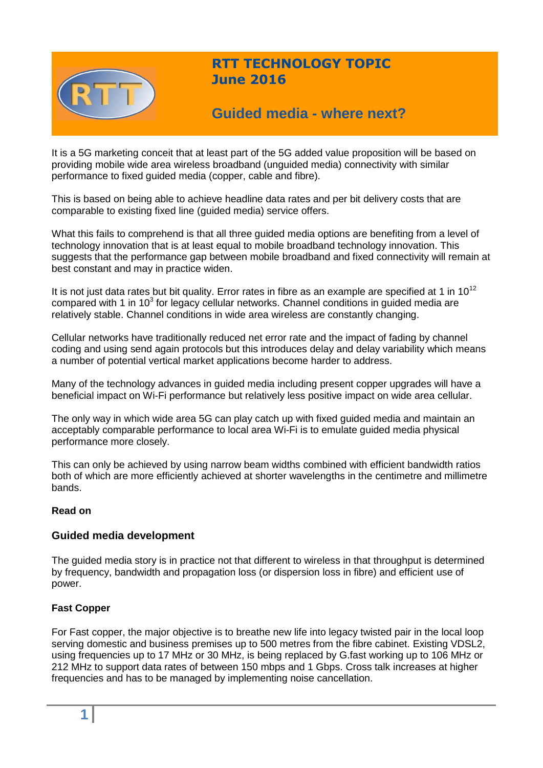

## **RTT TECHNOLOGY TOPIC June 2016**

# **Guided media - where next?**

It is a 5G marketing conceit that at least part of the 5G added value proposition will be based on providing mobile wide area wireless broadband (unguided media) connectivity with similar performance to fixed guided media (copper, cable and fibre).

This is based on being able to achieve headline data rates and per bit delivery costs that are comparable to existing fixed line (guided media) service offers.

What this fails to comprehend is that all three guided media options are benefiting from a level of technology innovation that is at least equal to mobile broadband technology innovation. This suggests that the performance gap between mobile broadband and fixed connectivity will remain at best constant and may in practice widen.

It is not just data rates but bit quality. Error rates in fibre as an example are specified at 1 in  $10^{12}$ compared with 1 in 10<sup>3</sup> for legacy cellular networks. Channel conditions in guided media are relatively stable. Channel conditions in wide area wireless are constantly changing.

Cellular networks have traditionally reduced net error rate and the impact of fading by channel coding and using send again protocols but this introduces delay and delay variability which means a number of potential vertical market applications become harder to address.

Many of the technology advances in guided media including present copper upgrades will have a beneficial impact on Wi-Fi performance but relatively less positive impact on wide area cellular.

The only way in which wide area 5G can play catch up with fixed guided media and maintain an acceptably comparable performance to local area Wi-Fi is to emulate guided media physical performance more closely.

This can only be achieved by using narrow beam widths combined with efficient bandwidth ratios both of which are more efficiently achieved at shorter wavelengths in the centimetre and millimetre bands.

#### **Read on**

## **Guided media development**

The guided media story is in practice not that different to wireless in that throughput is determined by frequency, bandwidth and propagation loss (or dispersion loss in fibre) and efficient use of power.

#### **Fast Copper**

For Fast copper, the major objective is to breathe new life into legacy twisted pair in the local loop serving domestic and business premises up to 500 metres from the fibre cabinet. Existing VDSL2, using frequencies up to 17 MHz or 30 MHz, is being replaced by G.fast working up to 106 MHz or 212 MHz to support data rates of between 150 mbps and 1 Gbps. Cross talk increases at higher frequencies and has to be managed by implementing noise cancellation.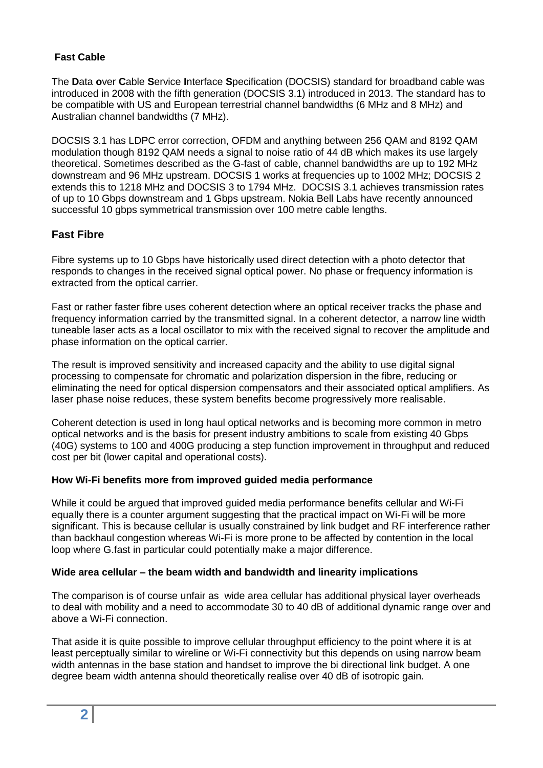## **Fast Cable**

The **D**ata **o**ver **C**able **S**ervice **I**nterface **S**pecification (DOCSIS) standard for broadband cable was introduced in 2008 with the fifth generation (DOCSIS 3.1) introduced in 2013. The standard has to be compatible with US and European terrestrial channel bandwidths (6 MHz and 8 MHz) and Australian channel bandwidths (7 MHz).

DOCSIS 3.1 has LDPC error correction, OFDM and anything between 256 QAM and 8192 QAM modulation though 8192 QAM needs a signal to noise ratio of 44 dB which makes its use largely theoretical. Sometimes described as the G-fast of cable, channel bandwidths are up to 192 MHz downstream and 96 MHz upstream. DOCSIS 1 works at frequencies up to 1002 MHz; DOCSIS 2 extends this to 1218 MHz and DOCSIS 3 to 1794 MHz. DOCSIS 3.1 achieves transmission rates of up to 10 Gbps downstream and 1 Gbps upstream. Nokia Bell Labs have recently announced successful 10 gbps symmetrical transmission over 100 metre cable lengths.

## **Fast Fibre**

Fibre systems up to 10 Gbps have historically used direct detection with a photo detector that responds to changes in the received signal optical power. No phase or frequency information is extracted from the optical carrier.

Fast or rather faster fibre uses coherent detection where an optical receiver tracks the phase and frequency information carried by the transmitted signal. In a coherent detector, a narrow line width tuneable laser acts as a local oscillator to mix with the received signal to recover the amplitude and phase information on the optical carrier.

The result is improved sensitivity and increased capacity and the ability to use digital signal processing to compensate for chromatic and polarization dispersion in the fibre, reducing or eliminating the need for optical dispersion compensators and their associated optical amplifiers. As laser phase noise reduces, these system benefits become progressively more realisable.

Coherent detection is used in long haul optical networks and is becoming more common in metro optical networks and is the basis for present industry ambitions to scale from existing 40 Gbps (40G) systems to 100 and 400G producing a step function improvement in throughput and reduced cost per bit (lower capital and operational costs).

#### **How Wi-Fi benefits more from improved guided media performance**

While it could be argued that improved guided media performance benefits cellular and Wi-Fi equally there is a counter argument suggesting that the practical impact on Wi-Fi will be more significant. This is because cellular is usually constrained by link budget and RF interference rather than backhaul congestion whereas Wi-Fi is more prone to be affected by contention in the local loop where G.fast in particular could potentially make a major difference.

#### **Wide area cellular – the beam width and bandwidth and linearity implications**

The comparison is of course unfair as wide area cellular has additional physical layer overheads to deal with mobility and a need to accommodate 30 to 40 dB of additional dynamic range over and above a Wi-Fi connection.

That aside it is quite possible to improve cellular throughput efficiency to the point where it is at least perceptually similar to wireline or Wi-Fi connectivity but this depends on using narrow beam width antennas in the base station and handset to improve the bi directional link budget. A one degree beam width antenna should theoretically realise over 40 dB of isotropic gain.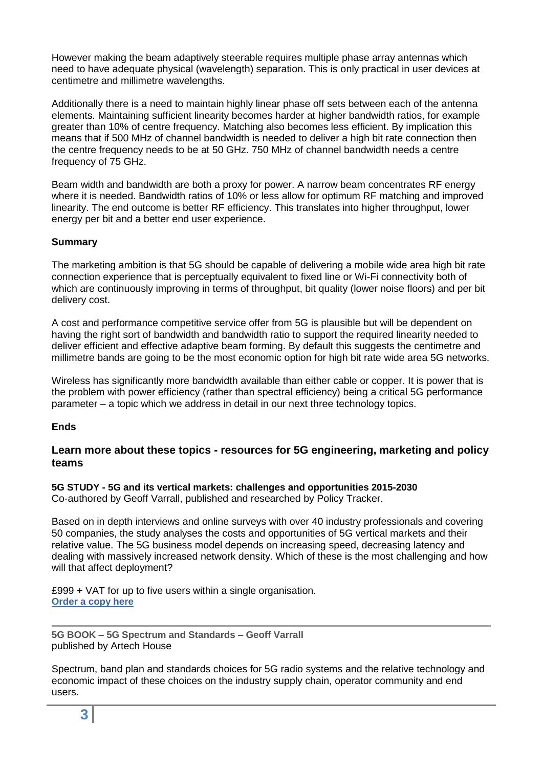However making the beam adaptively steerable requires multiple phase array antennas which need to have adequate physical (wavelength) separation. This is only practical in user devices at centimetre and millimetre wavelengths.

Additionally there is a need to maintain highly linear phase off sets between each of the antenna elements. Maintaining sufficient linearity becomes harder at higher bandwidth ratios, for example greater than 10% of centre frequency. Matching also becomes less efficient. By implication this means that if 500 MHz of channel bandwidth is needed to deliver a high bit rate connection then the centre frequency needs to be at 50 GHz. 750 MHz of channel bandwidth needs a centre frequency of 75 GHz.

Beam width and bandwidth are both a proxy for power. A narrow beam concentrates RF energy where it is needed. Bandwidth ratios of 10% or less allow for optimum RF matching and improved linearity. The end outcome is better RF efficiency. This translates into higher throughput, lower energy per bit and a better end user experience.

## **Summary**

The marketing ambition is that 5G should be capable of delivering a mobile wide area high bit rate connection experience that is perceptually equivalent to fixed line or Wi-Fi connectivity both of which are continuously improving in terms of throughput, bit quality (lower noise floors) and per bit delivery cost.

A cost and performance competitive service offer from 5G is plausible but will be dependent on having the right sort of bandwidth and bandwidth ratio to support the required linearity needed to deliver efficient and effective adaptive beam forming. By default this suggests the centimetre and millimetre bands are going to be the most economic option for high bit rate wide area 5G networks.

Wireless has significantly more bandwidth available than either cable or copper. It is power that is the problem with power efficiency (rather than spectral efficiency) being a critical 5G performance parameter – a topic which we address in detail in our next three technology topics.

#### **Ends**

## **Learn more about these topics - resources for 5G engineering, marketing and policy teams**

**5G STUDY - 5G and its vertical markets: challenges and opportunities 2015-2030** Co-authored by Geoff Varrall, published and researched by Policy Tracker.

Based on in depth interviews and online surveys with over 40 industry professionals and covering 50 companies, the study analyses the costs and opportunities of 5G vertical markets and their relative value. The 5G business model depends on increasing speed, decreasing latency and dealing with massively increased network density. Which of these is the most challenging and how will that affect deployment?

£999 + VAT for up to five users within a single organisation. **[Order a copy here](http://www.policytracker.com/current-reports-on-key-industry-issues/5g-vertical-markets/copy_of_5G-vertical-markets)**

**5G BOOK – 5G Spectrum and Standards – Geoff Varrall** published by Artech House

Spectrum, band plan and standards choices for 5G radio systems and the relative technology and economic impact of these choices on the industry supply chain, operator community and end users.